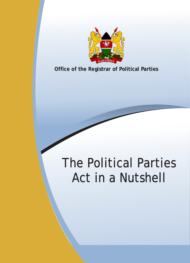

**Office of the Registrar of Political Parties**

# The Political Parties Act in a Nutshell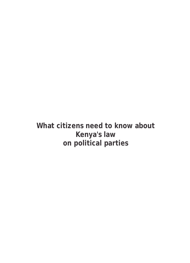**What citizens need to know about Kenya's law on political parties**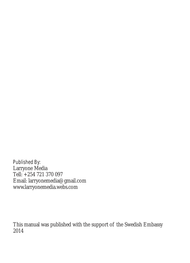Published By: Larryone Media Tell: +254 721 370 097 Email: larryonemedia@gmail.com www.larryonemedia.webs.com

This manual was published with the support of the Swedish Embassy 2014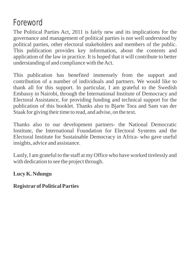## Foreword

The Political Parties Act, 2011 is fairly new and its implications for the governance and management of political parties is not well understood by political parties, other electoral stakeholders and members of the public. This publication provides key information, about the contents and application of the law in practice. It is hoped that it will contribute to better understanding of and compliance with the Act.

This publication has benefited immensely from the support and contribution of a number of individuals and partners. We would like to thank all for this support. In particular, I am grateful to the Swedish Embassy in Nairobi, through the International Institute of Democracy and Electoral Assistance, for providing funding and technical support for the publication of this booklet. Thanks also to Bjarte Tora and Sam van der Staak for giving their time to read, and advise, on the text.

Thanks also to our development partners- the National Democratic Institute, the International Foundation for Electoral Systems and the Electoral Institute for Sustainable Democracy in Africa- who gave useful insights, advice and assistance.

Lastly, I am grateful to the staff at my Office who have worked tirelessly and with dedication to see the project through.

**Lucy K. Ndungu**

**Registrar of Political Parties**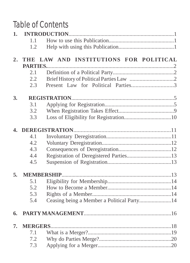## Table of Contents

| 1.             |                        |                                            |  |
|----------------|------------------------|--------------------------------------------|--|
|                | 1.1                    |                                            |  |
|                | 1.2                    |                                            |  |
| 2.             | THE<br><b>PARTIES.</b> | LAW AND INSTITUTIONS FOR POLITICAL         |  |
|                | 2.1                    |                                            |  |
|                | 2.2                    |                                            |  |
|                | 2.3                    |                                            |  |
| 3.             |                        |                                            |  |
|                | 3.1                    |                                            |  |
|                | 3.2                    |                                            |  |
|                | 3.3                    |                                            |  |
| $\mathbf{4}$ . |                        |                                            |  |
|                | 4.1                    |                                            |  |
|                | 4.2                    |                                            |  |
|                | 4.3                    |                                            |  |
|                | 4.4                    |                                            |  |
|                | 4.5                    |                                            |  |
| 5.             |                        | <b>MEMBERSHIP</b>                          |  |
|                | 5.1                    |                                            |  |
|                | 5.2                    |                                            |  |
|                | 5.3                    |                                            |  |
|                | 5.4                    | Ceasing being a Member a Political Party14 |  |
| 6.             |                        |                                            |  |
| 7.             | <b>MERGERS.</b>        |                                            |  |
|                | 7.1                    |                                            |  |
|                | 7.2                    |                                            |  |
|                | 7.3                    |                                            |  |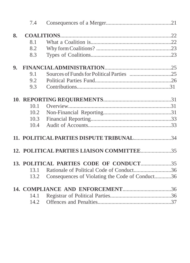|    | 7.4  |                                                 |  |
|----|------|-------------------------------------------------|--|
| 8. |      |                                                 |  |
|    | 8.1  |                                                 |  |
|    | 8.2  |                                                 |  |
|    | 8.3  |                                                 |  |
| 9. |      |                                                 |  |
|    | 9.1  |                                                 |  |
|    | 9.2  |                                                 |  |
|    | 9.3  |                                                 |  |
|    |      |                                                 |  |
|    | 10.1 |                                                 |  |
|    | 10.2 |                                                 |  |
|    | 10.3 |                                                 |  |
|    | 10.4 |                                                 |  |
|    |      | 11. POLITICAL PARTIES DISPUTE TRIBUNAL34        |  |
|    |      | 12. POLITICAL PARTIES LIAISON COMMITTEE35       |  |
|    |      | 13. POLITICAL PARTIES CODE OF CONDUCT35         |  |
|    | 13.1 | Rationale of Political Code of Conduct36        |  |
|    | 13.2 | Consequences of Violating the Code of Conduct36 |  |
|    |      |                                                 |  |
|    | 14.1 |                                                 |  |
|    | 14.2 |                                                 |  |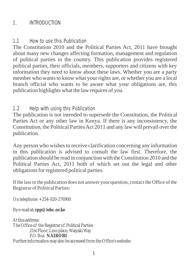#### 1. INTRODUCTION

#### 1.1 How to use this Publication

The Constitution 2010 and the Political Parties Act, 2011 have brought about many new changes affecting formation, management and regulation of political parties in the country. This publication provides registered political parties, their officials, members, supporters and citizens with key information they need to know about these laws. Whether you are a party member who wants to know what your rights are, or whether you are a local branch official who wants to be aware what your obligations are, this publication highlights what the law requires of you.

#### 1.2 Help with using this Publication

The publication is not intended to supersede the Constitution, the Political Parties Act or any other law in Kenya. If there is any inconsistency, the Constitution, the Political Parties Act 2011 and any law will prevail over the publication.

Any person who wishes to receive clarification concerning any information in this publication is advised to consult the law first. Therefore, the publication should be read in conjunction with the Constitution 2010 and the Political Parties Act, 2011 both of which set out the legal and other obligations for registered political parties.

If the law or the publication does not answer your question, contact the Office of the Registrar of Political Parties:

On telephone: +254-020-276900

By e-mail at**: rpp@iebc.or.ke** 

At this address: The Office of the Registrar of Political Parties 21st Floor, Lion place, Waiyaki Way P.O. Box **NAIROBI** Further information may also be accessed from the Office's website: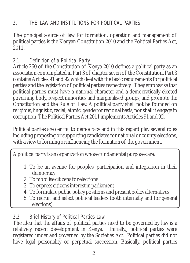## 2. THE LAW AND INSTITUTIONS FOR POLITICAL PARTIES

The principal source of law for formation, operation and management of political parties is the Kenyan Constitution 2010 and the Political Parties Act, 2011.

#### 2.1 Definition of a Political Party

Article 260 of the Constitution of Kenya 2010 defines a political party as an association contemplated in Part 3 of chapter seven of the Constitution. Part 3 contains Articles 91 and 92 which deal with the basic requirements for political parties and the legislation of political parties respectively. They emphasise that political parties must have a national character and a democratically elected governing body, respect minorities and marginalised groups, and promote the Constitution and the Rule of Law. A political party shall not be founded on religious, linguistic, racial, ethnic, gender or regional basis, nor shall it engage in corruption. The Political Parties Act 2011 implements Articles 91 and 92.

Political parties are central to democracy and in this regard play several roles including proposing or supporting candidates for national or county elections, with a view to forming or influencing the formation of the government.

A political party is an organization whose fundamental purposes are:

- 1. To be an avenue for peoples' participation and integration in their democracy
- 2. To mobilise citizens for elections
- 3. To express citizens interest in parliament
- 4. To formulate public policy positions and present policy alternatives
- 5. To recruit and select political leaders (both internally and for general elections).

2.2 Brief History of Political Parties Law

The idea that the affairs of political parties need to be governed by law is a relatively recent development in Kenya. Initially,, political parties were registered under and governed by the Societies Act.. Political parties did not have legal personality or perpetual succession. Basically, political parties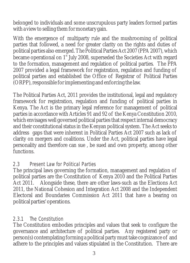belonged to individuals and some unscrupulous party leaders formed parties with a view to selling them for monetary gain.

With the emergence of multiparty rule and the mushrooming of political parties that followed, a need for greater clarity on the rights and duties of political parties also emerged. The Political Parties Act 2007 (PPA 2007), which became operational on  $1<sup>st</sup>$  July 2008, superseded the Societies Act with regard to the formation, management and regulation of political parties. The PPA 2007 provided a legal framework for registration, regulation and funding of political parties and established the Office of Registrar of Political Parties (ORPP), responsible for implementing and enforcing the law.

The Political Parties Act, 2011 provides the institutional, legal and regulatory framework for registration, regulation and funding of political parties in Kenya. The Act is the primary legal reference for management of political parties in accordance with Articles 91 and 92 of the Kenya Constitution 2010, which envisages well governed political parties that respect internal democracy and their constitutional status in the Kenyan political system. The Act seeks to address gaps that were inherent in Political Parties Act 2007 such as lack of clarity on mergers and coalitions. Under the Act, political parties have legal personality and therefore can sue , be sued and own property, among other functions.

#### 2.3 Present Law for Political Parties

The principal laws governing the formation, management and regulation of political parties are the Constitution of Kenya 2010 and the Political Parties Act 2011. Alongside these, there are other laws-such as the Elections Act 2011, the National Cohesion and Integration Act 2008 and the Independent Electoral and Boundaries Commission Act 2011 that have a bearing on political parties' operations.

## 2.3.1 The Constitution

The Constitution embodies principles and values that seek to configure the governance and architecture of political parties. Any registered party or person(s) contemplating forming a political party must take cognizance of and adhere to the principles and values stipulated in the Constitution. There are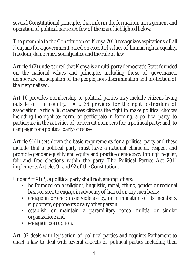several Constitutional principles that inform the formation, management and operation of political parties. A few of these are highlighted below. 1

The preamble to the Constitution of Kenya 2010 recognizes aspirations of all Kenyans for a government based on essential values of human rights, equality, freedom, democracy, social justice and the rule of law.

Article 4 (2) underscored that Kenya is a multi-party democratic State founded on the national values and principles including those of governance, democracy, participation of the people, non-discrimination and protection of the marginalized.

Art 16 provides membership to political parties may include citizens living outside of the country. Art. 36 provides for the right of-freedom of association. Article 38 guarantees citizens the right to make political choices including the right to: form, or participate in forming, a political party; to participate in the activities of, or recruit members for, a political party; and, to campaign for a political party or cause.

Article 91(1) sets down the basic requirements for a political party and these include that a political party must have a national character, respect and promote gender equality and equity and practice democracy through regular, fair and free elections within the party. The Political Parties Act 2011 implements Articles 91 and 92 of the Constitution.

Under Art 91(2), a political party **shall not**, among others:

- be founded on a religious, linguistic, racial, ethnic, gender or regional basis or seek to engage in advocacy of hatred on any such basis;
- engage in or encourage violence by, or intimidation of its members, supporters, opponents or any other person;
- establish or maintain a paramilitary force, militia or similar organization; and
- engage in corruption.

Art. 92 deals with legislation of political parties and requires Parliament to enact a law to deal with several aspects of political parties including their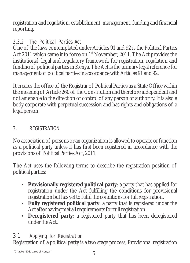registration and regulation, establishment, management, funding and financial reporting.

## 2.3.2 The Political Parties Act

One of the laws contemplated under Articles 91 and 92 is the Political Parties Act 2011 which came into force on  $1<sup>st</sup>$  November, 2011. The Act provides the institutional, legal and regulatory framework for registration, regulation and funding of political parties in Kenya. The Act is the primary legal reference for management of political parties in accordance with Articles 91 and 92.

It creates the office of the Registrar of Political Parties as a State Office within the meaning of Article 260 of the Constitution and therefore independent and not amenable to the direction or control of any person or authority. It is also a body corporate with perpetual succession and has rights and obligations of a legal person.

## 3. REGISTRATION

No association of persons or an organization is allowed to operate or function as a political party unless it has first been registered in accordance with the provisions of Political Parties Act, 2011.

The Act uses the following terms to describe the registration position of political parties:

- Provisionally registered political party: a party that has applied for registration under the Act fulfilling the conditions for provisional registration but has yet to fulfil the conditions for full registration.
- Fully registered political party: a party that is registered under the Act after having met all requirements for full registration.
- Deregistered party: a registered party that has been deregistered under the Act.

## 3.1 Applying for Registration

Registration of a political party is a two stage process, Provisional registration

<sup>1</sup>Chapter 108, Laws of Kenya.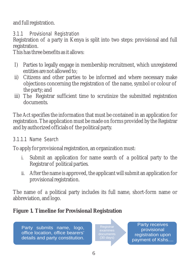and full registration.

3.1.1 Provisional Registration

Registration of a party in Kenya is split into two steps: provisional and full registration.

This has three benefits as it allows:

- I) Parties to legally engage in membership recruitment, which unregistered entities are not allowed to;
- ii) Citizens and other parties to be informed and where necessary make objections concerning the registration of the name, symbol or colour of the party; and
- iii) The Registrar sufficient time to scrutinize the submitted registration documents.

The Act specifies the information that must be contained in an application for registration. The application must be made on forms provided by the Registrar and by authorized officials of the political party.

## 3.1.1.1 Name Search

To apply for provisional registration, an organization must:

- i. Submit an application for name search of a political party to the Registrar of political parties.
- ii. After the name is approved, the applicant will submit an application for provisional registration.

The name of a political party includes its full name, short-form name or abbreviation, and logo.

**Figure 1. Timeline for Provisional Registration** 

Party submits name, logo, office location, office bearers' details and party constitution.

Party receives provisional registration upon payment of Kshs....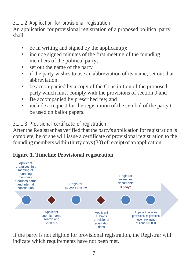3.1.1.2 Application for provisional registration

An application for provisional registration of a proposed political party shall:-

- be in writing and signed by the applicant(s);
- include signed minutes of the first meeting of the founding members of the political party;
- set out the name of the party
- if the party wishes to use an abbreviation of its name, set out that abbreviation.
- be accompanied by a copy of the Constitution of the proposed party which must comply with the provisions of section 9;and
- Be accompanied by prescribed fee; and
- include a request for the registration of the symbol of the party to be used on ballot papers.

3.1.1.3 Provisional certificate of registration

After the Registrar has verified that the party's application for registration is complete, he or she will issue a certificate of provisional registration to the founding members within thirty days (30) of receipt of an application.

#### **Figure 1. Timeline Provisional registration**



If the party is not eligible for provisional registration, the Registrar will indicate which requirements have not been met.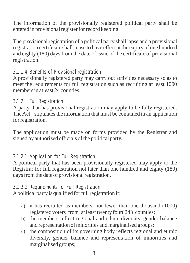The information of the provisionally registered political party shall be entered in provisional register for record keeping.

The provisional registration of a political party shall lapse and a provisional registration certificate shall cease to have effect at the expiry of one hundred and eighty (180) days from the date of issue of the certificate of provisional registration.

#### 3.1.1.4 Benefits of Provisional registration

A provisionally registered party may carry out activities necessary so as to meet the requirements for full registration such as recruiting at least 1000 members in atleast 24 counties.

## 3.1.2 Full Registration

A party that has provisional registration may apply to be fully registered. The Act stipulates the information that must be contained in an application for registration.

The application must be made on forms provided by the Registrar and signed by authorized officials of the political party.

## 3.1.2.1 Application for Full Registration

A political party that has been provisionally registered may apply to the Registrar for full registration not later than one hundred and eighty (180) days from the date of provisional registration.

## 3.1.2.2 Requirements for Full Registration

Apolitical party is qualified for full registration if:

- a) it has recruited as members, not fewer than one thousand (1000) registered voters from at least twenty four( 24 ) counties;
- b) the members reflect regional and ethnic diversity, gender balance and representation of minorities and marginalised groups;
- c) the composition of its governing body reflects regional and ethnic diversity, gender balance and representation of minorities and marginalised groups;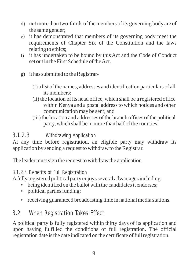- d) not more than two-thirds of the members of its governing body are of the same gender;
- e) it has demonstrated that members of its governing body meet the requirements of Chapter Six of the Constitution and the laws relating to ethics;
- f) it has undertaken to be bound by this Act and the Code of Conduct set out in the First Schedule of the Act.
- g) it has submitted to the Registrar-
	- (i) a list of the names, addresses and identification particulars of all its members;
	- (ii) the location of its head office, which shall be a registered office within Kenya and a postal address to which notices and other communication may be sent; and
	- (iii) the location and addresses of the branch offices of the political party, which shall be in more than half of the counties.

## 3.1.2.3 Withdrawing Application

At any time before registration, an eligible party may withdraw its application by sending a request to withdraw to the Registrar.

The leader must sign the request to withdraw the application

#### 3.1.2.4 Benefits of Full Registration

Afully registered political party enjoys several advantages including:

- being identified on the ballot with the candidates it endorses;
- political parties funding;
- receiving guaranteed broadcasting time in national media stations.

## 3.2 When Registration Takes Effect

A political party is fully registered within thirty days of its application and upon having fulfilled the conditions of full registration. The official registration date is the date indicated on the certificate of full registration.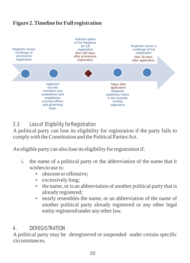## **Figure 2. Timeline forFull registration**



3.3 Loss of Eligibility for Registration

A political party can lose its eligibility for registration if the party fails to comply with the Constitution and the Political Parties Act.

An eligible party can also lose its eligibility for registration if:

- i. the name of a political party or the abbreviation of the name that it wishes to use is:
	- obscene or offensive;
	- excessively long;
	- the name, or is an abbreviation of another political party that is already registered;
	- nearly resembles the name, or an abbreviation of the name of another political party already registered or any other legal entity registered under any other law.

#### 4. DEREGISTRATION

A political party may be deregistered or suspended under certain specific circumstances.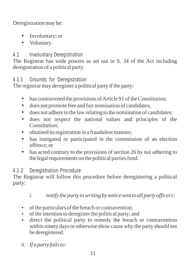Deregistration may be:

- Involuntary; or
- Voluntary.

## 4.1 Involuntary Deregistration

The Registrar has wide powers as set out in S. 34 of the Act including deregistration of a political party.

## 4.1.1 Grounds for Deregistration

The registrar may deregister a political party if the party:

- has contravened the provisions of Article 91 of the Constitution;
- does not promote free and fair nomination of candidates;
- does not adhere to the law relating to the nomination of candidates;
- does not respect the national values and principles of the Constitution;
- obtained its registration in a fraudulent manner;
- has instigated or participated in the commission of an election offence; or
- has acted contrary to the provisions of section 26 by not adhering to the legal requirements on the political parties fund.

#### 4.1.2 Deregistration Procedure

The Registrar will follow this procedure before deregistering a political party:

- *i. notify the party in writing by notice sent to all party officers:*
- of the particulars of the breach or contravention;
- of the intention to deregister the political party; and
- direct the political party to remedy the breach or contravention within ninety days or otherwise show cause why the party should not be deregistered.
- *ii. If a party fails to:*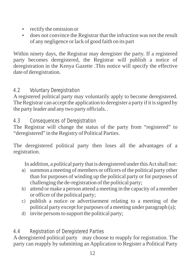- rectify the omission or
- does not convince the Registrar that the infraction was not the result of any negligence or lack of good faith on its part

Within ninety days, the Registrar may deregister the party. If a registered party becomes deregistered, the Registrar will publish a notice of deregistration in the Kenya Gazette .This notice will specify the effective date of deregistration.

## 4.2 Voluntary Deregistration

A registered political party may voluntarily apply to become deregistered. The Registrar can accept the application to deregister a party if it is signed by the party leader and any two party officials. .

4.3 Consequences of Deregistration

The Registrar will change the status of the party from "registered" to "deregistered" in the Registry of Political Parties.

The deregistered political party then loses all the advantages of a registration.

In addition, a political party that is deregistered under this Act shall not:

- a) summon a meeting of members or officers of the political party other than for purposes of winding up the political party or for purposes of challenging the de-registration of the political party;
- b) attend or make a person attend a meeting in the capacity of a member or officer of the political party;
- c) publish a notice or advertisement relating to a meeting of the political party except for purposes of a meeting under paragraph (a);
- d) invite persons to support the political party;

4.4 Registration of Deregistered Parties

A deregistered political party may choose to reapply for registration. The party can reapply by submitting an Application to Register a Political Party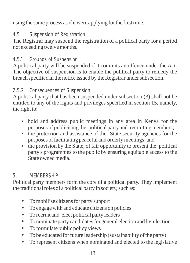using the same process as if it were applying for the first time.

## 4.5 Suspension of Registration

The Registrar may suspend the registration of a political party for a period not exceeding twelve months.

## 4.5.1 Grounds of Suspension

A political party will be suspended if it commits an offence under the Act. The objective of suspension is to enable the political party to remedy the breach specified in the notice issued by the Registrar under subsection.

## 2.5.2 Consequences of Suspension

A political party that has been suspended under subsection (3) shall not be entitled to any of the rights and privileges specified in section 15, namely, the right to:

- hold and address public meetings in any area in Kenya for the purposes of publicising the political party and recruiting members;
- the protection and assistance of the State security agencies for the purposes of facilitating peaceful and orderly meetings; and
- the provision by the State, of fair opportunity to present the political party's programmes to the public by ensuring equitable access to the State owned media.

#### 5. MEMBERSHIP

Political party members form the core of a political party. They implement the traditional roles of a political party in society, such as:

- To mobilise citizens for party support
- To engage with and educate citizens on policies
- To recruit and elect political party leaders
- To nominate party candidates for general election and by-election
- To formulate public policy views
- To be educated for future leadership (sustainability of the party)
- To represent citizens when nominated and elected to the legislative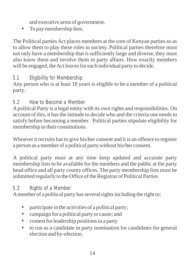and executive arms of government.

• To pay membership fees.

The Political parties Act places members at the core of Kenyan parties so as to allow them to play these roles in society. Political parties therefore must not only have a membership that is sufficiently large and diverse, they must also know them and involve them in party affairs. How exactly members will be engaged, the Act leaves for each individual party to decide.

#### 5.1 Eligibility for Membership

Any person who is at least 18 years is eligible to be a member of a political party.

## 5.2 How to Become a Member

Apolitical Party is a legal entity with its own rights and responsibilities. On account of this, it has the latitude to decide who and the criteria one needs to satisfy before becoming a member. Political parties stipulate eligibility for membership in their constitutions.

Whoever it recruits has to give his/her consent and it is an offence to register a person as a member of a political party without his/her consent.

A political party must at any time keep updated and accurate party membership lists to be available for the members and the public at the party head office and all party county offices. The party membership lists must be submitted regularly to the Office of the Registrar of Political Parties

## 5.3 Rights of a Member

Amember of a political party has several rights including the right to:

- participate in the activities of a political party;
- campaign for a political party or cause; and
- contest for leadership positions in a party
- to run as a candidate in party nomination for candidates for general election and by-election.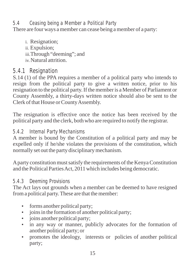5.4 Ceasing being a Member a Political Party There are four ways a member can cease being a member of a party:

i. Resignation; ii. Expulsion; iii.Through "deeming"; and iv. Natural attrition.

## 5.4.1 Resignation

S.14 (1) of the PPA requires a member of a political party who intends to resign from the political party to give a written notice, prior to his resignation to the political party. If the member is a Member of Parliament or County Assembly, a thirty-days written notice should also be sent to the Clerk of that House or County Assembly.

The resignation is effective once the notice has been received by the political party and the clerk, both who are required to notify the registrar.

#### 5.4.2 Internal Party Mechanisms

A member is bound by the Constitution of a political party and may be expelled only if he/she violates the provisions of the constitution, which normally set out the party disciplinary mechanism.

Aparty constitution must satisfy the requirements of the Kenya Constitution and the Political Parties Act, 2011 which includes being democratic.

#### 5.4.3 Deeming Provisions

The Act lays out grounds when a member can be deemed to have resigned from a political party. These are that the member:

- forms another political party;
- joins in the formation of another political party;
- joins another political party;
- in any way or manner, publicly advocates for the formation of another political party; or
- promotes the ideology, interests or policies of another political party;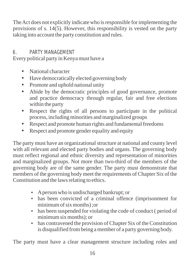The Act does not explicitly indicate who is responsible for implementing the provisions of s. 14(5). However, this responsibility is vested on the party taking into account the party constitution and rules.

#### 6. PARTY MANAGEMENT

Every political party in Kenya must have a

- National character
- Have democratically elected governing body
- Promote and uphold national unity
- Abide by the democratic principles of good governance, promote and practice democracy through regular, fair and free elections within the party
- Respect the rights of all persons to participate in the political process, including minorities and marginalized groups
- Respect and promote human rights and fundamental freedoms
- Respect and promote gender equality and equity

The party must have an organizational structure at national and county level with all relevant and elected party bodies and organs. The governing body must reflect regional and ethnic diversity and representation of minorities and marginalized groups. Not more than two-third of the members of the governing body are of the same gender. The party must demonstrate that members of the governing body meet the requirements of Chapter Six of the Constitution and the laws relating to ethics.

- A person who is undischarged bankrupt; or
- has been convicted of a criminal offence (imprisonment for minimum of six months) ;or
- has been suspended for violating the code of conduct ( period of minimum six months); or
- has contravened the provision of Chapter Six of the Constitution is disqualified from being a member of a party governing body.

The party must have a clear management structure including roles and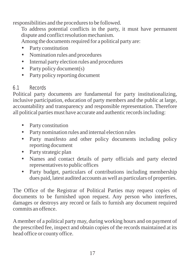responsibilities and the procedures to be followed.

To address potential conflicts in the party, it must have permanent dispute and conflict resolution mechanism.

Among the documents required for a political party are:

- Party constitution
- Nomination rules and procedures
- Internal party election rules and procedures
- Party policy document(s)
- Party policy reporting document

#### 6.1 Records

Political party documents are fundamental for party institutionalizing, inclusive participation, education of party members and the public at large, accountability and transparency and responsible representation. Therefore all political parties must have accurate and authentic records including:

- Party constitution
- Party nomination rules and internal election rules
- Party manifesto and other policy documents including policy reporting document
- Party strategic plan
- Names and contact details of party officials and party elected representatives to public offices
- Party budget, particulars of contributions including membership dues paid, latest audited accounts as well as particulars of properties.

The Office of the Registrar of Political Parties may request copies of documents to be furnished upon request. Any person who interferes, damages or destroys any record or fails to furnish any document required commits an offence.

Amember of a political party may, during working hours and on payment of the prescribed fee, inspect and obtain copies of the records maintained at its head office or county office.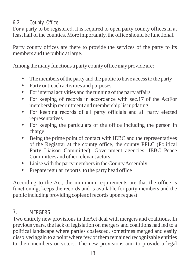## 6.2 County Office

For a party to be registered, it is required to open party county offices in at least half of the counties. More importantly, the office should be functional.

Party county offices are there to provide the services of the party to its members and the public at large.

Among the many functions a party county office may provide are:

- The members of the party and the public to have access to the party
- Party outreach activities and purposes
- For internal activities and the running of the party affairs
- For keeping of records in accordance with sec.17 of the ActFor membership recruitment and membership list updating
- For keeping records of all party officials and all party elected representatives
- For keeping the particulars of the office including the person in charge
- Being the prime point of contact with IEBC and the representatives of the Registrar at the county office, the county PPLC (Political Party Liaison Committee), Government agencies, IEBC Peace Committees and other relevant actors
- Liaise with the party members in the County Assembly
- Prepare regular reports to the party head office

According to the Act, the minimum requirements are that the office is functioning, keeps the records and is available for party members and the public including providing copies of records upon request.

## 7. MERGERS

Two entirely new provisions in theAct deal with mergers and coalitions. In previous years, the lack of legislation on mergers and coalitions had led to a political landscape where parties coalesced, sometimes merged and easily dissolved again to a point where few of them remained recognizable entities to their members or voters. The new provisions aim to provide a legal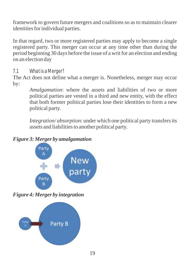framework to govern future mergers and coalitions so as to maintain clearer identities for individual parties.

In that regard, two or more registered parties may apply to become a single registered party. This merger can occur at any time other than during the period beginning 30 days before the issue of a writ for an election and ending on an election day

#### 7.1 What is a Merger?

The Act does not define what a merger is. Nonetheless, merger may occur by:

*Amalgamation*: where the assets and liabilities of two or more political parties are vested in a third and new entity, with the effect that both former political parties lose their identities to form a new political party.

*Integration/ absorption*: under which one political party transfers its assets and liabilities to another political party.

#### *Figure 3: Merger by amalgamation*



*Figure 4: Merger by integration*

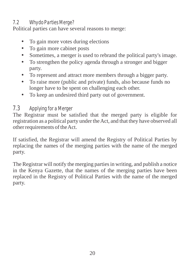## 7.2 Why do Parties Merge?

Political parties can have several reasons to merge:

- To gain more votes during elections
- To gain more cabinet posts
- Sometimes, a merger is used to rebrand the political party's image.
- To strengthen the policy agenda through a stronger and bigger party.
- To represent and attract more members through a bigger party.
- To raise more (public and private) funds, also because funds no longer have to be spent on challenging each other.
- To keep an undesired third party out of government.

## 7.3 Applying for a Merger

The Registrar must be satisfied that the merged party is eligible for registration as a political party under the Act, and that they have observed all other requirements of the Act.

If satisfied, the Registrar will amend the Registry of Political Parties by replacing the names of the merging parties with the name of the merged party.

The Registrar will notify the merging parties in writing, and publish a notice in the Kenya Gazette, that the names of the merging parties have been replaced in the Registry of Political Parties with the name of the merged party.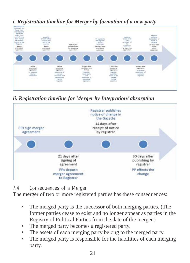![](_page_26_Figure_0.jpeg)

*i. Registration timeline for Merger by formation of a new party*

*ii. Registration timeline for Merger by Integration/ absorption*

![](_page_26_Figure_3.jpeg)

7.4 Consequences of a Merger

The merger of two or more registered parties has these consequences:

- The merged party is the successor of both merging parties. (The former parties cease to exist and no longer appear as parties in the Registry of Political Parties from the date of the merger.)
- The merged party becomes a registered party.
- The assets of each merging party belong to the merged party.
- The merged party is responsible for the liabilities of each merging party.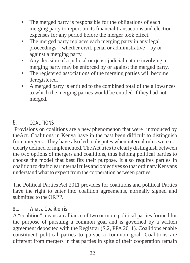- The merged party is responsible for the obligations of each merging party to report on its financial transactions and election expenses for any period before the merger took effect.
- The merged party replaces each merging party in any legal proceedings – whether civil, penal or administrative – by or against a merging party.
- Any decision of a judicial or quasi-judicial nature involving a merging party may be enforced by or against the merged party.
- The registered associations of the merging parties will become deregistered.
- A merged party is entitled to the combined total of the allowances to which the merging parties would be entitled if they had not merged.

## 8. COALITIONS

Provisions on coalitions are a new phenomenon that were introduced by theAct. Coalitions in Kenya have in the past been difficult to distinguish from mergers.. They have also led to disputes when internal rules were not clearly defined or implemented. The Act tries to clearly distinguish between the two options of mergers and coalitions, thus helping political parties to choose the model that best fits their purpose. It also requires parties in coalition to draft clear internal rules and objectives so that ordinary Kenyans understand what to expect from the cooperation between parties.

The Political Parties Act 2011 provides for coalitions and political Parties have the right to enter into coalition agreements, normally signed and submitted to the ORPP.

#### 8.1 What a Coalition is

A "coalition" means an alliance of two or more political parties formed for the purpose of pursuing a common goal and is governed by a written agreement deposited with the Registrar (S.2, PPA 2011). Coalitions enable constituent political parties to pursue a common goal. Coalitions are different from mergers in that parties in spite of their cooperation remain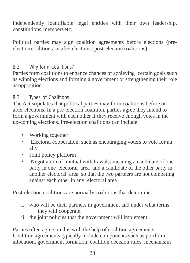independently identifiable legal entities with their own leadership, constitutions, members etc.

Political parties may sign coalition agreements before elections (preelection coalitions) or after elections (post-election coalitions)

#### 8.2 Why form Coalitions?

Parties form coalitions to enhance chances of achieving certain goals such as winning elections and forming a government or strengthening their role as opposition.

#### 8.3 Types of Coalitions

The Act stipulates that political parties may form coalitions before or after elections. In a pre-election coalition, parties agree they intend to form a government with each other if they receive enough votes in the up-coming elections. Pre-election coalitions can include:

- Working together
- Electoral cooperation, such as encouraging voters to vote for an ally
- Joint policy platform
- Negotiation of mutual withdrawals: meaning a candidate of one party in one electoral area and a candidate of the other party in another electoral area so that the two partners are not competing against each other in any electoral area .

Post-election coalitions are normally coalitions that determine:

- i. who will be their partners in government and under what terms they will cooperate;
- ii. the joint policies that the government will implement.

Parties often agree on this with the help of coalition agreements. Coalition agreements typically include components such as portfolio allocation, government formation, coalition decision rules, mechanisms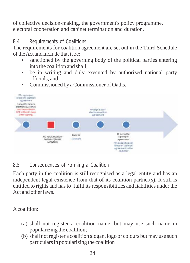of collective decision-making, the government's policy programme, electoral cooperation and cabinet termination and duration.

8.4 Requirements of Coalitions

The requirements for coalition agreement are set out in the Third Schedule of the Act and include that it be:

- sanctioned by the governing body of the political parties entering into the coalition and shall;
- be in writing and duly executed by authorized national party officials; and
- PPs sign a preelections coalition agreement 3 months before elections (Date XX). and deposit with **PPs sign a post-**RPR within 21 days election coalition after signing agreement 21 days after **Date XX NO REGISTRATION** signing of Elections POSSIBLE (THREE agreement MONTHS) PPs deposit a postelection coalition agreement to the **Hegistrar**
- Commissioned by a Commissioner of Oaths.

## 8.5 Consequences of Forming a Coalition

Each party in the coalition is still recognised as a legal entity and has an independent legal existence from that of its coalition partner(s). It still is entitled to rights and has to fulfil its responsibilities and liabilities under the Act and other laws.

Acoalition:

- (a) shall not register a coalition name, but may use such name in popularizing the coalition;
- (b) shall not register a coalition slogan, logo or colours but may use such particulars in popularizing the coalition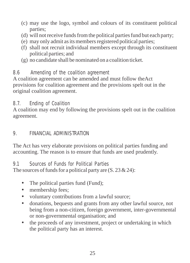- (c) may use the logo, symbol and colours of its constituent political parties;
- (d) will not receive funds from the political parties fund but each party;
- (e) may only admit as its members registered political parties;
- (f) shall not recruit individual members except through its constituent political parties; and
- (g) no candidate shall be nominated on a coalition ticket.

8.6 Amending of the coalition agreement

A coalition agreement can be amended and must follow theAct provisions for coalition agreement and the provisions spelt out in the original coalition agreement.

#### 8.7. Ending of Coalition

A coalition may end by following the provisions spelt out in the coalition agreement.

#### 9. FINANCIAL ADMINISTRATION

The Act has very elaborate provisions on political parties funding and accounting. The reason is to ensure that funds are used prudently.

9.1 Sources of Funds for Political Parties

The sources of funds for a political party are  $(S. 23 \& 24)$ :

- The political parties fund (Fund);
- membership fees;
- voluntary contributions from a lawful source;
- donations, bequests and grants from any other lawful source, not being from a non-citizen, foreign government, inter-governmental or non-governmental organisation; and
- the proceeds of any investment, project or undertaking in which the political party has an interest.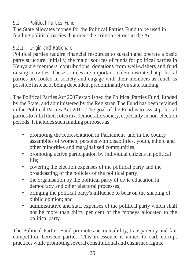## 9.2 Political Parties Fund

The State allocates money for the Political Parties Fund to be used in funding political parties that meet the criteria set out in the Act.

## 9.2.1 Origin and Rationale

Political parties require financial resources to sustain and operate a basic party structure. Initially, the major sources of funds for political parties in Kenya are members' contributions, donations from well-wishers and fund raising activities. These sources are important to demonstrate that political parties are rooted in society and engage with their members as much as possible instead of being dependent predominantly on state funding.

The Political Parties Act 2007 established the Political Parties Fund, funded by the State, and administered by the Registrar. The Fund has been retained in the Political Parties Act 2011. The goal of the Fund is to assist political parties to fulfil their roles in a democratic society, especially in non-election periods. It includes such funding purposes as:

- promoting the representation in Parliament and in the county assemblies of women, persons with disabilities, youth, ethnic and other minorities and marginalised communities;
- promoting active participation by individual citizens in political life;
- covering the election expenses of the political party and the broadcasting of the policies of the political party;
- the organisation by the political party of civic education in democracy and other electoral processes;
- bringing the political party's influence to bear on the shaping of public opinion; and
- administrative and staff expenses of the political party which shall not be more than thirty per cent of the moneys allocated to the political party.

The Political Parties Fund promotes accountability, transparency and fair competition between parties. This in essence is aimed to curb corrupt practices while promoting several constitutional and enshrined rights.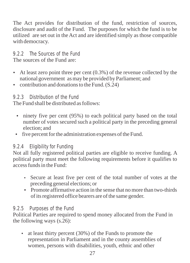The Act provides for distribution of the fund, restriction of sources, disclosure and audit of the Fund. The purposes for which the fund is to be utilized are set out in the Act and are identified simply as those compatible with democracy.

#### 9.2.2.2.2 The Sources of the Fund The sources of the Fund are:

- $\bullet$  At least zero point three per cent (0.3%) of the revenue collected by the national government as may be provided by Parliament; and
- contribution and donations to the Fund.  $(S.24)$

## 9.2.3 Distribution of the Fund

The Fund shall be distributed as follows:

- $\cdot$  ninety five per cent (95%) to each political party based on the total number of votes secured such a political party in the preceding general election; and
- five percent for the administration expenses of the Fund.

#### 9.2.4 Eligibility for Funding

Not all fully registered political parties are eligible to receive funding. A political party must meet the following requirements before it qualifies to access funds in the Fund:

- Secure at least five per cent of the total number of votes at the preceding general elections; or
- $\bullet$  Promote affirmative action in the sense that no more than two-thirds of its registered office bearers are of the same gender.

#### 9.2.5 Purposes of the Fund

Political Parties are required to spend money allocated from the Fund in the following ways (s.26):

 $\bullet$  at least thirty percent (30%) of the Funds to promote the representation in Parliament and in the county assemblies of women, persons with disabilities, youth, ethnic and other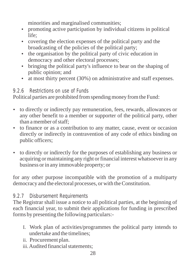minorities and marginalised communities;

- promoting active participation by individual citizens in political life;
- covering the election expenses of the political party and the broadcasting of the policies of the political party;
- the organisation by the political party of civic education in democracy and other electoral processes;
- bringing the political party's influence to bear on the shaping of public opinion; and
- $\bullet$  at most thirty percent (30%) on administrative and staff expenses.

## 9.2.6 Restrictions on use of Funds

Political parties are prohibited from spending money from the Fund:

- to directly or indirectly pay remuneration, fees, rewards, allowances or any other benefit to a member or supporter of the political party, other than a member of staff;
- to finance or as a contribution to any matter, cause, event or occasion directly or indirectly in contravention of any code of ethics binding on public officers;
- to directly or indirectly for the purposes of establishing any business or acquiring or maintaining any right or financial interest whatsoever in any business or in any immovable property; or

for any other purpose incompatible with the promotion of a multiparty democracy and the electoral processes, or with the Constitution.

## 9.2.7 Disbursement Requirements

The Registrar shall issue a notice to all political parties, at the beginning of each financial year, to submit their applications for funding in prescribed forms by presenting the following particulars:-

- I. Work plan of activities/programmes the political party intends to undertake and the timelines;
- ii. Procurement plan.
- iii. Audited financial statements;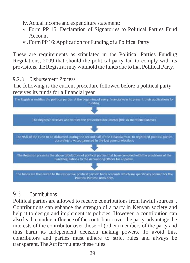- iv. Actual income and expenditure statement;
- v. Form PP 15: Declaration of Signatories to Political Parties Fund Account
- vi. Form PP16: Application for Funding of a Political Party

These are requirements as stipulated in the Political Parties Funding Regulations, 2009 that should the political party fail to comply with its provisions, the Registrar may withhold the funds due to that Political Party.

9.2.8 Disbursement Process

The following is the current procedure followed before a political party receives its funds for a financial year

![](_page_34_Figure_6.jpeg)

## 9.3 Contributions

Political parties are allowed to receive contributions from lawful sources ., Contributions can enhance the strength of a party in Kenyan society and help it to design and implement its policies. However, a contribution can also lead to undue influence of the contributor over the party, advantage the interests of the contributor over those of (other) members of the party and thus harm its independent decision making powers. To avoid this, contributors and parties must adhere to strict rules and always be transparent. The Act formulates these rules.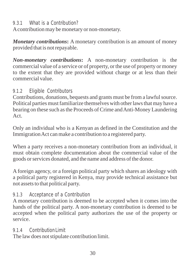#### 9.3.1 What is a Contribution?

Acontribution may be monetary or non-monetary.

*Monetary contributions***:** A monetary contribution is an amount of money provided that is not repayable.

*Non-monetary contributions***:** A non-monetary contribution is the commercial value of a service or of property, or the use of property or money to the extent that they are provided without charge or at less than their commercial value.

## 9.1.2 Eligible Contributors

Contributions, donations, bequests and grants must be from a lawful source. Political parties must familiarize themselves with other laws that may have a bearing on these such as the Proceeds of Crime and Anti-Money Laundering Act.

Only an individual who is a Kenyan as defined in the Constitution and the Immigration Act can make a contribution to a registered party.

When a party receives a non-monetary contribution from an individual, it must obtain complete documentation about the commercial value of the goods or services donated, and the name and address of the donor.

Aforeign agency, or a foreign political party which shares an ideology with a political party registered in Kenya, may provide technical assistance but not assets to that political party.

## 9.1.3 Acceptance of a Contribution

A monetary contribution is deemed to be accepted when it comes into the hands of the political party. A non-monetary contribution is deemed to be accepted when the political party authorizes the use of the property or service.

## 9.1.4 Contribution Limit

The law does not stipulate contribution limit.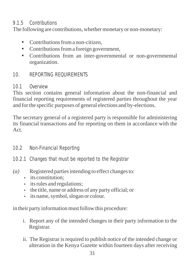#### 9.1.5 Contributions

The following are contributions, whether monetary or non-monetary:

- Contributions from a non-citizen,
- Contributions from a foreign government,
- Contributions from an inter-governmental or non-governmental organization.

## 10. REPORTING REQUIREMENTS

#### 10.1 Overview

This section contains general information about the non-financial and financial reporting requirements of registered parties throughout the year and for the specific purposes of general elections and by-elections.

The secretary general of a registered party is responsible for administering its financial transactions and for reporting on them in accordance with the Act.

- 10.2 Non-Financial Reporting
- 10.2.1 Changes that must be reported to the Registrar
- *(a)* Registered parties intending to effect changes to:
	- its constitution:
	- its rules and regulations;
	- the title, name or address of any party official; or
	- its name, symbol, slogan or colour.

in their party information must follow this procedure:

- i. Report any of the intended changes in their party information to the Registrar.
- ii. The Registrar is required to publish notice of the intended change or alteration in the Kenya Gazette within fourteen days after receiving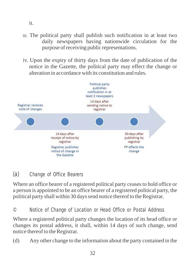- iii. The political party shall publish such notification in at least two daily newspapers having nationwide circulation for the purpose of receiving public representations.
- iv. Upon the expiry of thirty days from the date of publication of the notice in the Gazette, the political party may effect the change or alteration in accordance with its constitution and rules.

![](_page_37_Figure_2.jpeg)

## (a) Change of Office Bearers

Where an office bearer of a registered political party ceases to hold office or a person is appointed to be an office bearer of a registered political party, the political party shall within 30 days send notice thereof to the Registrar.

© Notice of Change of Location or Head Office or Postal Address

Where a registered political party changes the location of its head office or changes its postal address, it shall, within 14 days of such change, send notice thereof to the Registrar.

(d) Any other change to the information about the party contained in the

it.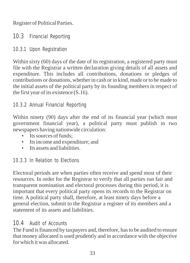Register of Political Parties.

10.3 Financial Reporting

10.3.1 Upon Registration

Within sixty (60) days of the date of its registration, a registered party must file with the Registrar a written declaration giving details of all assets and expenditure. This includes all contributions, donations or pledges of contributions or donations, whether in cash or in kind, made or to be made to the initial assets of the political party by its founding members in respect of the first year of its existence (S.16).

## 10.3.2 Annual Financial Reporting

Within ninety (90) days after the end of its financial year (which must government financial year), a political party must publish in two newspapers having nationwide circulation:

- Its sources of funds;
- Its income and expenditure; and
- Its assets and liabilities.

## 10.3.3 In Relation to Elections

Electoral periods are when parties often receive and spend most of their resources. In order for the Registrar to verify that all parties run fair and transparent nomination and electoral processes during this period, it is important that every political party opens its records to the Registrar on time. A political party shall, therefore, at least ninety days before a general election, submit to the Registrar a register of its members and a statement of its assets and liabilities.

## 10.4 Audit of Accounts

The Fund is financed by taxpayers and, therefore, has to be audited to ensure that money allocated is used prudently and in accordance with the objective for which it was allocated.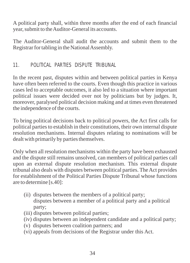A political party shall, within three months after the end of each financial year, submit to the Auditor-General its accounts.

The Auditor-General shall audit the accounts and submit them to the Registrar for tabling in the National Assembly.

## 11. POLITICAL PARTIES DISPUTE TRIBUNAL

In the recent past, disputes within and between political parties in Kenya have often been referred to the courts. Even though this practice in various cases led to acceptable outcomes, it also led to a situation where important political issues were decided over not by politicians but by judges. It, moreover, paralysed political decision making and at times even threatened the independence of the courts.

To bring political decisions back to political powers, the Act first calls for political parties to establish in their constitutions, their own internal dispute resolution mechanisms. Internal disputes relating to nominations will be dealt with primarily by parties themselves.

Only when all resolution mechanisms within the party have been exhausted and the dispute still remains unsolved, can members of political parties call upon an external dispute resolution mechanism. This external dispute tribunal also deals with disputes between political parties. The Act provides for establishment of the Political Parties Dispute Tribunal whose functions are to determine [s.40]:

- (ii) disputes between the members of a political party; disputes between a member of a political party and a political party;
- (iii) disputes between political parties;
- (iv) disputes between an independent candidate and a political party;
- (v) disputes between coalition partners; and
- (vi) appeals from decisions of the Registrar under this Act.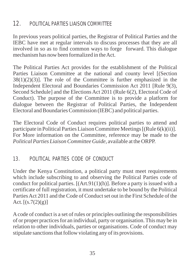## 12. POLITICAL PARTIES LIAISON COMMITTEE

In previous years political parties, the Registrar of Political Parties and the IEBC have met at regular intervals to discuss processes that they are all involved in so as to find common ways to forge forward. This dialogue mechanism has now been formalized in the Act.

The Political Parties Act provides for the establishment of the Political Parties Liaison Committee at the national and county level [(Section  $38(1)(2)(3)$ ]. The role of the Committee is further emphasized in the Independent Electoral and Boundaries Commission Act 2011 [Rule 9(3), Second Schedule] and the Elections Act 2011 (Rule 6(2), Electoral Code of Conduct). The purpose of the Committee is to provide a platform for dialogue between the Registrar of Political Parties, the Independent Electoral and Boundaries Commission (IEBC) and political parties.

The Electoral Code of Conduct requires political parties to attend and participate in Political Parties Liaison Committee Meetings [(Rule 6(k)(ii)]. For More information on the Committee, reference may be made to the *Political Parties Liaison Committee Guide*, available at the ORPP.

## 13. POLITICAL PARTIES CODE OF CONDUCT

Under the Kenya Constitution, a political party must meet requirements which include subscribing to and observing the Political Parties code of conduct for political parties.  $[(Art.91(1)(h)]$ . Before a party is issued with a certificate of full registration, it must undertake to be bound by the Political Parties Act 2011 and the Code of Conduct set out in the First Schedule of the Act.  $[(s.7(2)(g)]$ 

Acode of conduct is a set of rules or principles outlining the responsibilities of or proper practices for an individual, party or organisation. This may be in relation to other individuals, parties or organisations. Code of conduct may stipulate sanctions that follow violating any of its provisions.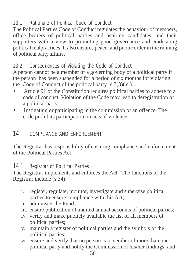## 13.1 Rationale of Political Code of Conduct

The Political Parties Code of Conduct regulates the behaviour of members, office bearers of political parties and aspiring candidates, and their supporters with a view to promoting good governance and eradicating political malpractices. It also ensures peace; and public order in the running of political party affairs.

13.2 Consequences of Violating the Code of Conduct

A person cannot be a member of a governing body of a political party if the person has been suspended for a period of six months for violating the Code of Conduct of the political party  $[s.7(3)(c)]$ .

- Article 91 of the Constitution requires political parties to adhere to a code of conduct. Violation of the Code may lead to deregistration of a political party.
- Instigating or participating in the commission of an offence. The code prohibits participation on acts of violence.

## 14. COMPLIANCE AND ENFORCEMENT

The Registrar has responsibility of ensuring compliance and enforcement of the Political Parties Act.

## 14.1 Registrar of Political Parties

The Registrar implements and enforces the Act. The functions of the Registrar include (s.34):

- i. register, regulate, monitor, investigate and supervise political parties to ensure compliance with this Act;
- ii. administer the Fund;
- iii. ensure publication of audited annual accounts of political parties;
- iv. verify and make publicly available the list of all members of political parties;
- v. maintain a register of political parties and the symbols of the political parties;
- vi. ensure and verify that no person is a member of more than one political party and notify the Commission of his/her findings; and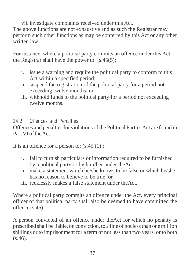vii. investigate complaints received under this Act. The above functions are not exhaustive and as such the Registrar may perform such other functions as may be conferred by this Act or any other written law.

For instance, where a political party commits an offence under this Act, the Registrar shall have the power to: [s.45(5):

- i. issue a warning and require the political party to conform to this Act within a specified period;
- ii. suspend the registration of the political party for a period not exceeding twelve months; or
- iii. withhold funds to the political party for a period not exceeding twelve months.

#### 14.2 Offences and Penalties

Offences and penalties for violations of the Political Parties Act are found in Part VI of the Act.

It is an offence for a person to:  $(s.45(1))$ :

- i. fail to furnish particulars or information required to be furnished by a political party or by him/her under theAct;
- ii. make a statement which he/she knows to be false or which he/she has no reason to believe to be true; or
- iii. recklessly makes a false statement under theAct,

Where a political party commits an offence under the Act, every principal officer of that political party shall also be deemed to have committed the offence (s.45).

A person convicted of an offence under theAct for which no penalty is prescribed shall be liable, on conviction, to a fine of not less than one million shillings or to imprisonment for a term of not less than two years, or to both  $(s.46)$ .